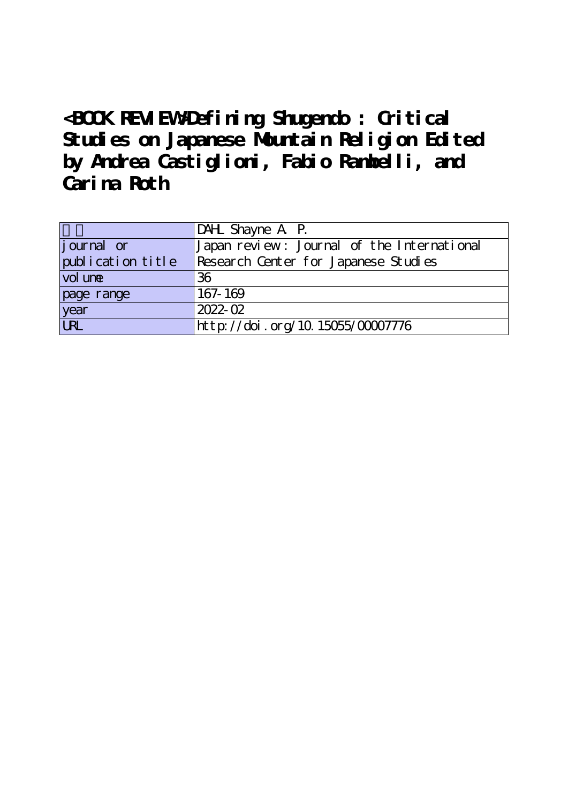**<BOOK REVIEW>Defining Shugendo : Critical Studies on Japanese Mountain Religion Edited by Andrea Castiglioni, Fabio Rambelli, and Carina Roth**

|                   | DAHL Shayne A P.                           |
|-------------------|--------------------------------------------|
| journal or        | Japan review: Journal of the International |
| publication title | Research Center for Japanese Studies       |
| vol une           | 36                                         |
| page range        | 167-169                                    |
| year<br>URL       | $2022 - 02$                                |
|                   | http://doi.org/10.15055/00007776           |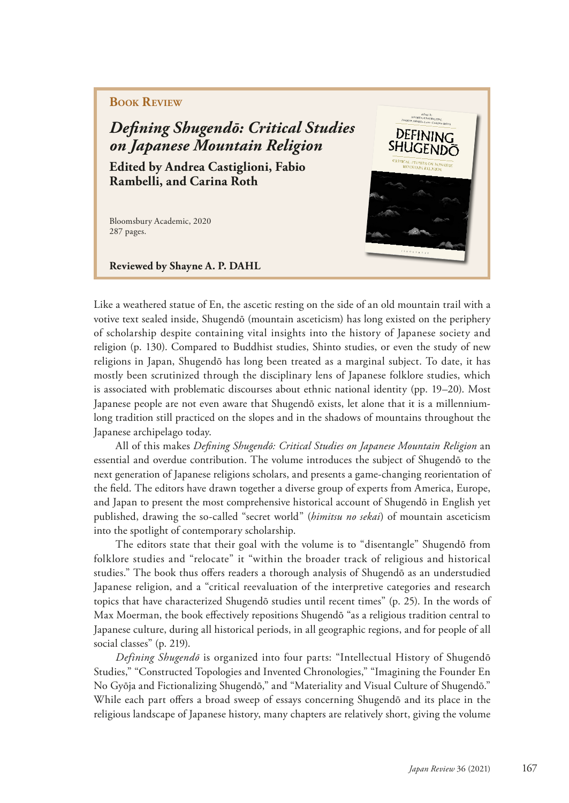# **Book Review**

*Defning Shugendō: Critical Studies on Japanese Mountain Religion*

**Edited by Andrea Castiglioni, Fabio Rambelli, and Carina Roth**

Bloomsbury Academic, 2020 287 pages.

**Reviewed by Shayne A. P. DAHL** 

Like a weathered statue of En, the ascetic resting on the side of an old mountain trail with a votive text sealed inside, Shugendō (mountain asceticism) has long existed on the periphery of scholarship despite containing vital insights into the history of Japanese society and religion (p. 130). Compared to Buddhist studies, Shinto studies, or even the study of new religions in Japan, Shugendō has long been treated as a marginal subject. To date, it has mostly been scrutinized through the disciplinary lens of Japanese folklore studies, which is associated with problematic discourses about ethnic national identity (pp. 19–20). Most Japanese people are not even aware that Shugendō exists, let alone that it is a millenniumlong tradition still practiced on the slopes and in the shadows of mountains throughout the Japanese archipelago today.

All of this makes *Defning Shugendō: Critical Studies on Japanese Mountain Religion* an essential and overdue contribution. The volume introduces the subject of Shugendō to the next generation of Japanese religions scholars, and presents a game-changing reorientation of the feld. The editors have drawn together a diverse group of experts from America, Europe, and Japan to present the most comprehensive historical account of Shugendō in English yet published, drawing the so-called "secret world" (*himitsu no sekai*) of mountain asceticism into the spotlight of contemporary scholarship.

The editors state that their goal with the volume is to "disentangle" Shugendō from folklore studies and "relocate" it "within the broader track of religious and historical studies." The book thus ofers readers a thorough analysis of Shugendō as an understudied Japanese religion, and a "critical reevaluation of the interpretive categories and research topics that have characterized Shugendō studies until recent times" (p. 25). In the words of Max Moerman, the book efectively repositions Shugendō "as a religious tradition central to Japanese culture, during all historical periods, in all geographic regions, and for people of all social classes" (p. 219).

*Defining Shugendō* is organized into four parts: "Intellectual History of Shugendō Studies," "Constructed Topologies and Invented Chronologies," "Imagining the Founder En No Gyōja and Fictionalizing Shugendō," and "Materiality and Visual Culture of Shugendō." While each part ofers a broad sweep of essays concerning Shugendō and its place in the religious landscape of Japanese history, many chapters are relatively short, giving the volume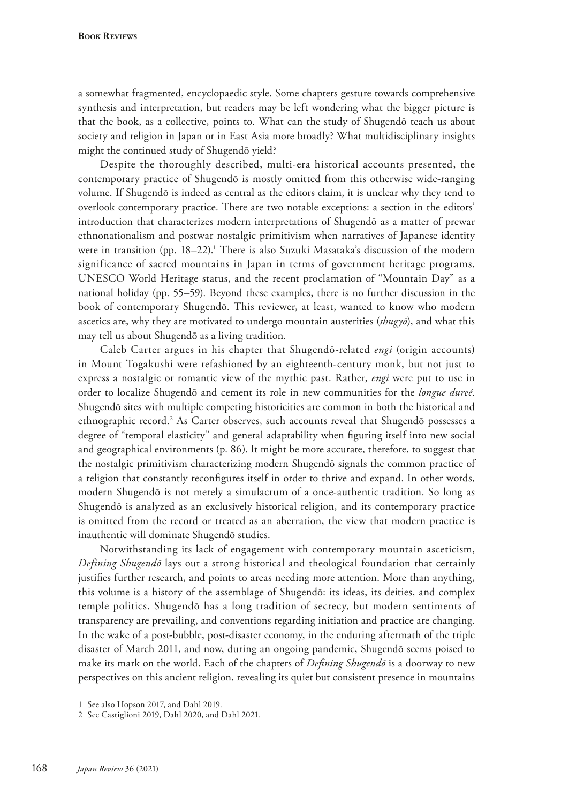**Book Reviews**

a somewhat fragmented, encyclopaedic style. Some chapters gesture towards comprehensive synthesis and interpretation, but readers may be left wondering what the bigger picture is that the book, as a collective, points to. What can the study of Shugendō teach us about society and religion in Japan or in East Asia more broadly? What multidisciplinary insights might the continued study of Shugendō yield?

Despite the thoroughly described, multi-era historical accounts presented, the contemporary practice of Shugendō is mostly omitted from this otherwise wide-ranging volume. If Shugendō is indeed as central as the editors claim, it is unclear why they tend to overlook contemporary practice. There are two notable exceptions: a section in the editors' introduction that characterizes modern interpretations of Shugendō as a matter of prewar ethnonationalism and postwar nostalgic primitivism when narratives of Japanese identity were in transition (pp. 18–22).<sup>1</sup> There is also Suzuki Masataka's discussion of the modern significance of sacred mountains in Japan in terms of government heritage programs, UNESCO World Heritage status, and the recent proclamation of "Mountain Day" as a national holiday (pp. 55–59). Beyond these examples, there is no further discussion in the book of contemporary Shugendō. This reviewer, at least, wanted to know who modern ascetics are, why they are motivated to undergo mountain austerities (*shugyō*), and what this may tell us about Shugendō as a living tradition.

Caleb Carter argues in his chapter that Shugendō-related *engi* (origin accounts) in Mount Togakushi were refashioned by an eighteenth-century monk, but not just to express a nostalgic or romantic view of the mythic past. Rather, *engi* were put to use in order to localize Shugendō and cement its role in new communities for the *longue dureé*. Shugendō sites with multiple competing historicities are common in both the historical and ethnographic record.<sup>2</sup> As Carter observes, such accounts reveal that Shugendō possesses a degree of "temporal elasticity" and general adaptability when fguring itself into new social and geographical environments (p. 86). It might be more accurate, therefore, to suggest that the nostalgic primitivism characterizing modern Shugendō signals the common practice of a religion that constantly reconfgures itself in order to thrive and expand. In other words, modern Shugendō is not merely a simulacrum of a once-authentic tradition. So long as Shugendō is analyzed as an exclusively historical religion, and its contemporary practice is omitted from the record or treated as an aberration, the view that modern practice is inauthentic will dominate Shugendō studies.

Notwithstanding its lack of engagement with contemporary mountain asceticism, *Defining Shugendō* lays out a strong historical and theological foundation that certainly justifes further research, and points to areas needing more attention. More than anything, this volume is a history of the assemblage of Shugendō: its ideas, its deities, and complex temple politics. Shugendō has a long tradition of secrecy, but modern sentiments of transparency are prevailing, and conventions regarding initiation and practice are changing. In the wake of a post-bubble, post-disaster economy, in the enduring aftermath of the triple disaster of March 2011, and now, during an ongoing pandemic, Shugendō seems poised to make its mark on the world. Each of the chapters of *Defning Shugendō* is a doorway to new perspectives on this ancient religion, revealing its quiet but consistent presence in mountains

<sup>1</sup> See also Hopson 2017, and Dahl 2019.

<sup>2</sup> See Castiglioni 2019, Dahl 2020, and Dahl 2021.